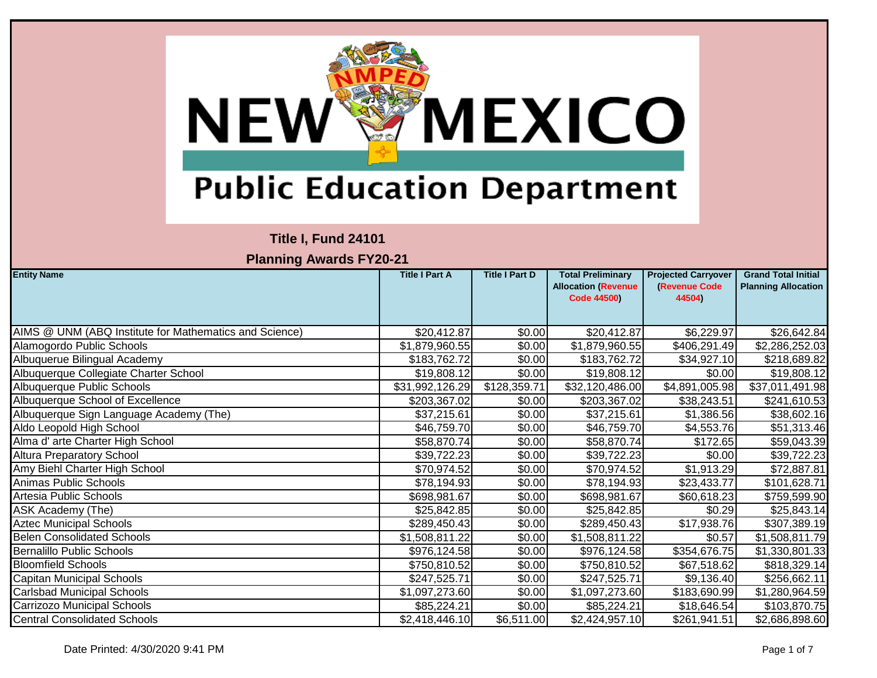

## **Title I, Fund 24101**

| <b>Entity Name</b>                                     | <b>Title I Part A</b> | <b>Title I Part D</b> | <b>Total Preliminary</b><br><b>Allocation (Revenue</b><br><b>Code 44500)</b> | <b>Projected Carryover</b><br>(Revenue Code<br>44504) | <b>Grand Total Initial</b><br><b>Planning Allocation</b> |
|--------------------------------------------------------|-----------------------|-----------------------|------------------------------------------------------------------------------|-------------------------------------------------------|----------------------------------------------------------|
|                                                        |                       |                       |                                                                              |                                                       |                                                          |
| AIMS @ UNM (ABQ Institute for Mathematics and Science) | \$20,412.87           | \$0.00                | \$20,412.87                                                                  | \$6,229.97                                            | \$26,642.84                                              |
| Alamogordo Public Schools                              | \$1,879,960.55        | \$0.00                | \$1,879,960.55                                                               | \$406,291.49                                          | \$2,286,252.03                                           |
| Albuquerue Bilingual Academy                           | \$183,762.72          | \$0.00                | \$183,762.72                                                                 | \$34,927.10                                           | \$218,689.82                                             |
| Albuquerque Collegiate Charter School                  | \$19,808.12           | \$0.00                | \$19,808.12                                                                  | \$0.00                                                | \$19,808.12                                              |
| Albuquerque Public Schools                             | \$31,992,126.29       | \$128,359.71          | \$32,120,486.00                                                              | \$4,891,005.98                                        | \$37,011,491.98                                          |
| Albuquerque School of Excellence                       | \$203,367.02          | \$0.00                | \$203,367.02                                                                 | \$38,243.51                                           | \$241,610.53                                             |
| Albuquerque Sign Language Academy (The)                | \$37,215.61           | \$0.00                | \$37,215.61                                                                  | \$1,386.56                                            | \$38,602.16                                              |
| Aldo Leopold High School                               | \$46,759.70           | \$0.00                | \$46,759.70                                                                  | \$4,553.76                                            | \$51,313.46                                              |
| Alma d' arte Charter High School                       | \$58,870.74           | \$0.00                | \$58,870.74                                                                  | \$172.65                                              | \$59,043.39                                              |
| <b>Altura Preparatory School</b>                       | \$39,722.23           | \$0.00                | \$39,722.23                                                                  | \$0.00                                                | \$39,722.23                                              |
| Amy Biehl Charter High School                          | \$70,974.52           | \$0.00                | \$70,974.52                                                                  | $\overline{\$1,}913.29$                               | \$72,887.81                                              |
| Animas Public Schools                                  | \$78,194.93           | \$0.00                | \$78,194.93                                                                  | \$23,433.77                                           | \$101,628.71                                             |
| Artesia Public Schools                                 | \$698,981.67          | \$0.00                | \$698,981.67                                                                 | \$60,618.23                                           | \$759,599.90                                             |
| ASK Academy (The)                                      | \$25,842.85           | \$0.00                | \$25,842.85                                                                  | \$0.29                                                | \$25,843.14                                              |
| <b>Aztec Municipal Schools</b>                         | \$289,450.43          | \$0.00                | \$289,450.43                                                                 | \$17,938.76                                           | \$307,389.19                                             |
| <b>Belen Consolidated Schools</b>                      | \$1,508,811.22        | \$0.00                | \$1,508,811.22                                                               | \$0.57                                                | \$1,508,811.79                                           |
| <b>Bernalillo Public Schools</b>                       | \$976,124.58          | \$0.00                | \$976,124.58                                                                 | \$354,676.75                                          | \$1,330,801.33                                           |
| <b>Bloomfield Schools</b>                              | \$750,810.52          | \$0.00                | \$750,810.52                                                                 | \$67,518.62                                           | \$818,329.14                                             |
| Capitan Municipal Schools                              | \$247,525.71          | \$0.00                | \$247,525.71                                                                 | \$9,136.40                                            | \$256,662.11                                             |
| <b>Carlsbad Municipal Schools</b>                      | \$1,097,273.60        | \$0.00                | \$1,097,273.60                                                               | \$183,690.99                                          | \$1,280,964.59                                           |
| Carrizozo Municipal Schools                            | \$85,224.21           | \$0.00                | \$85,224.21                                                                  | \$18,646.54                                           | \$103,870.75                                             |
| <b>Central Consolidated Schools</b>                    | \$2,418,446.10        | \$6,511.00            | \$2,424,957.10                                                               | \$261,941.51                                          | \$2,686,898.60                                           |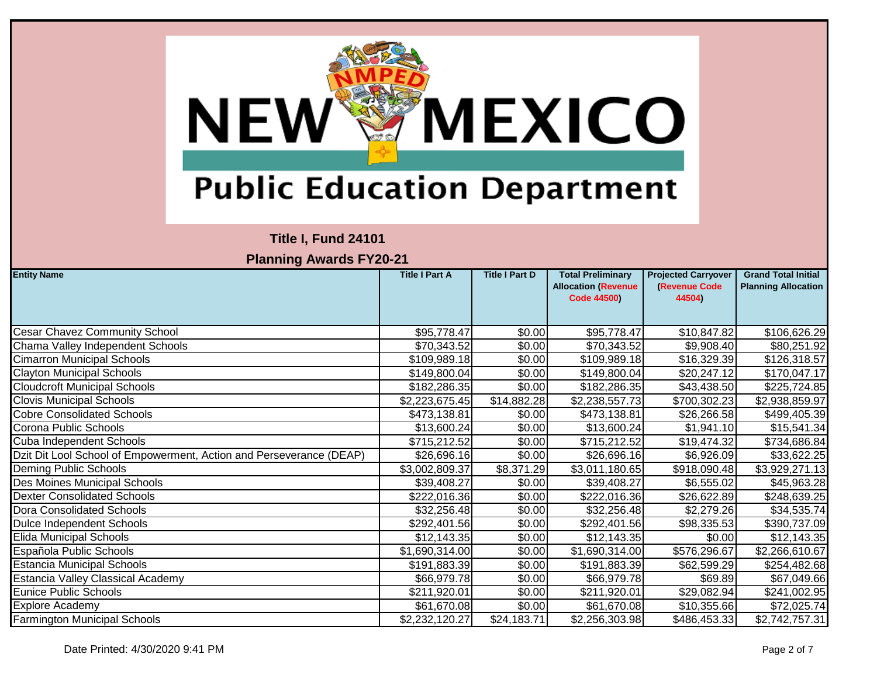

### **Title I, Fund 24101**

| <b>Entity Name</b>                                                  | <b>Title I Part A</b> | <b>Title I Part D</b> | <b>Total Preliminary</b><br><b>Allocation (Revenue</b><br><b>Code 44500)</b> | <b>Projected Carryover</b><br><b>(Revenue Code)</b><br>44504) | <b>Grand Total Initial</b><br><b>Planning Allocation</b> |
|---------------------------------------------------------------------|-----------------------|-----------------------|------------------------------------------------------------------------------|---------------------------------------------------------------|----------------------------------------------------------|
| <b>Cesar Chavez Community School</b>                                | \$95,778.47           | \$0.00                | \$95,778.47                                                                  | \$10,847.82                                                   | \$106,626.29                                             |
| Chama Valley Independent Schools                                    | \$70,343.52           | \$0.00                | \$70,343.52                                                                  | \$9,908.40                                                    | \$80,251.92                                              |
| <b>Cimarron Municipal Schools</b>                                   | \$109,989.18          | \$0.00                | \$109,989.18                                                                 | \$16,329.39                                                   | \$126,318.57                                             |
| <b>Clayton Municipal Schools</b>                                    | \$149,800.04          | \$0.00                | \$149,800.04                                                                 | \$20,247.12                                                   | \$170,047.17                                             |
| <b>Cloudcroft Municipal Schools</b>                                 | \$182,286.35          | \$0.00                | \$182,286.35                                                                 | \$43,438.50                                                   | \$225,724.85                                             |
| <b>Clovis Municipal Schools</b>                                     | \$2,223,675.45        | \$14,882.28           | \$2,238,557.73                                                               | \$700,302.23                                                  | \$2,938,859.97                                           |
| <b>Cobre Consolidated Schools</b>                                   | \$473,138.81          | \$0.00                | \$473,138.81                                                                 | \$26,266.58                                                   | \$499,405.39                                             |
| Corona Public Schools                                               | \$13,600.24           | \$0.00                | \$13,600.24                                                                  | \$1,941.10                                                    | \$15,541.34                                              |
| Cuba Independent Schools                                            | \$715,212.52          | \$0.00                | \$715,212.52                                                                 | \$19,474.32                                                   | \$734,686.84                                             |
| Dzit Dit Lool School of Empowerment, Action and Perseverance (DEAP) | \$26,696.16           | \$0.00                | \$26,696.16                                                                  | \$6,926.09                                                    | \$33,622.25                                              |
| Deming Public Schools                                               | \$3,002,809.37        | \$8,371.29            | \$3,011,180.65                                                               | \$918,090.48                                                  | \$3,929,271.13                                           |
| Des Moines Municipal Schools                                        | \$39,408.27           | \$0.00                | \$39,408.27                                                                  | \$6,555.02                                                    | \$45,963.28                                              |
| <b>Dexter Consolidated Schools</b>                                  | \$222,016.36          | \$0.00                | \$222,016.36                                                                 | \$26,622.89                                                   | \$248,639.25                                             |
| Dora Consolidated Schools                                           | \$32,256.48           | \$0.00                | \$32,256.48                                                                  | \$2,279.26                                                    | \$34,535.74                                              |
| Dulce Independent Schools                                           | \$292,401.56          | \$0.00                | \$292,401.56                                                                 | \$98,335.53                                                   | \$390,737.09                                             |
| <b>Elida Municipal Schools</b>                                      | \$12,143.35           | \$0.00                | \$12,143.35                                                                  | \$0.00]                                                       | \$12,143.35                                              |
| Española Public Schools                                             | \$1,690,314.00        | \$0.00                | \$1,690,314.00                                                               | \$576,296.67                                                  | \$2,266,610.67                                           |
| <b>Estancia Municipal Schools</b>                                   | \$191,883.39          | \$0.00                | \$191,883.39                                                                 | \$62,599.29                                                   | \$254,482.68                                             |
| Estancia Valley Classical Academy                                   | \$66,979.78           | \$0.00                | \$66,979.78                                                                  | \$69.89                                                       | \$67,049.66                                              |
| <b>Eunice Public Schools</b>                                        | \$211,920.01          | \$0.00                | \$211,920.01                                                                 | \$29,082.94                                                   | \$241,002.95                                             |
| Explore Academy                                                     | \$61,670.08           | \$0.00                | \$61,670.08                                                                  | \$10,355.66                                                   | \$72,025.74                                              |
| <b>Farmington Municipal Schools</b>                                 | \$2,232,120.27        | \$24,183.71           | \$2,256,303.98                                                               | \$486,453.33                                                  | \$2,742,757.31                                           |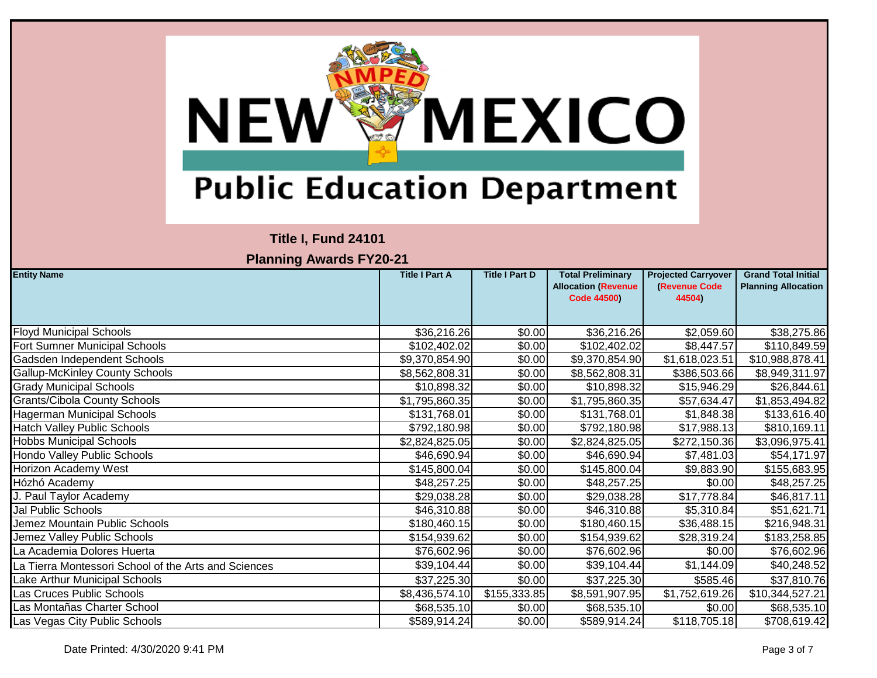

## **Title I, Fund 24101**

| <b>Entity Name</b>                                   | <b>Title I Part A</b> | <b>Title I Part D</b> | <b>Total Preliminary</b><br><b>Allocation (Revenue</b> | <b>Projected Carryover</b><br>(Revenue Code | <b>Grand Total Initial</b><br><b>Planning Allocation</b> |
|------------------------------------------------------|-----------------------|-----------------------|--------------------------------------------------------|---------------------------------------------|----------------------------------------------------------|
|                                                      |                       |                       | <b>Code 44500)</b>                                     | 44504)                                      |                                                          |
|                                                      |                       |                       |                                                        |                                             |                                                          |
| <b>Floyd Municipal Schools</b>                       | \$36,216.26           | \$0.00                | \$36,216.26                                            | \$2,059.60                                  | \$38,275.86                                              |
| Fort Sumner Municipal Schools                        | \$102,402.02          | \$0.00                | \$102,402.02                                           | \$8,447.57                                  | \$110,849.59                                             |
| Gadsden Independent Schools                          | \$9,370,854.90        | \$0.00                | \$9,370,854.90                                         | \$1,618,023.51                              | \$10,988,878.41                                          |
| <b>Gallup-McKinley County Schools</b>                | \$8,562,808.31        | \$0.00                | \$8,562,808.31                                         | \$386,503.66                                | \$8,949,311.97                                           |
| <b>Grady Municipal Schools</b>                       | \$10,898.32           | \$0.00                | \$10,898.32                                            | \$15,946.29                                 | \$26,844.61                                              |
| <b>Grants/Cibola County Schools</b>                  | \$1,795,860.35        | \$0.00                | $\overline{1,795,860.35}$                              | \$57,634.47                                 | \$1,853,494.82                                           |
| Hagerman Municipal Schools                           | \$131,768.01          | \$0.00                | \$131,768.01                                           | \$1,848.38                                  | \$133,616.40                                             |
| <b>Hatch Valley Public Schools</b>                   | \$792,180.98          | \$0.00                | \$792,180.98                                           | \$17,988.13                                 | \$810,169.11                                             |
| <b>Hobbs Municipal Schools</b>                       | \$2,824,825.05        | \$0.00                | \$2,824,825.05                                         | \$272,150.36                                | \$3,096,975.41                                           |
| Hondo Valley Public Schools                          | \$46,690.94           | \$0.00                | \$46,690.94                                            | \$7,481.03                                  | \$54,171.97                                              |
| Horizon Academy West                                 | \$145,800.04          | \$0.00                | \$145,800.04                                           | \$9,883.90                                  | \$155,683.95                                             |
| Hózhó Academy                                        | \$48,257.25           | \$0.00                | \$48,257.25                                            | \$0.00                                      | \$48,257.25                                              |
| J. Paul Taylor Academy                               | \$29,038.28           | \$0.00                | \$29,038.28                                            | \$17,778.84                                 | \$46,817.11                                              |
| Jal Public Schools                                   | \$46,310.88           | \$0.00                | \$46,310.88                                            | \$5,310.84]                                 | \$51,621.71                                              |
| Jemez Mountain Public Schools                        | \$180,460.15          | \$0.00                | \$180,460.15                                           | \$36,488.15                                 | \$216,948.31                                             |
| Jemez Valley Public Schools                          | \$154,939.62          | \$0.00                | \$154,939.62                                           | \$28,319.24                                 | \$183,258.85                                             |
| La Academia Dolores Huerta                           | \$76,602.96           | \$0.00                | \$76,602.96                                            | \$0.00                                      | \$76,602.96                                              |
| La Tierra Montessori School of the Arts and Sciences | \$39,104.44           | \$0.00                | \$39,104.44                                            | \$1,144.09                                  | \$40,248.52                                              |
| Lake Arthur Municipal Schools                        | \$37,225.30           | \$0.00                | \$37,225.30                                            | \$585.46                                    | \$37,810.76                                              |
| Las Cruces Public Schools                            | \$8,436,574.10        | \$155,333.85          | \$8,591,907.95                                         | \$1,752,619.26                              | \$10,344,527.21                                          |
| Las Montañas Charter School                          | \$68,535.10           | \$0.00                | \$68,535.10                                            | \$0.00]                                     | \$68,535.10                                              |
| Las Vegas City Public Schools                        | \$589,914.24          | \$0.00                | \$589,914.24                                           | \$118,705.18                                | \$708,619.42                                             |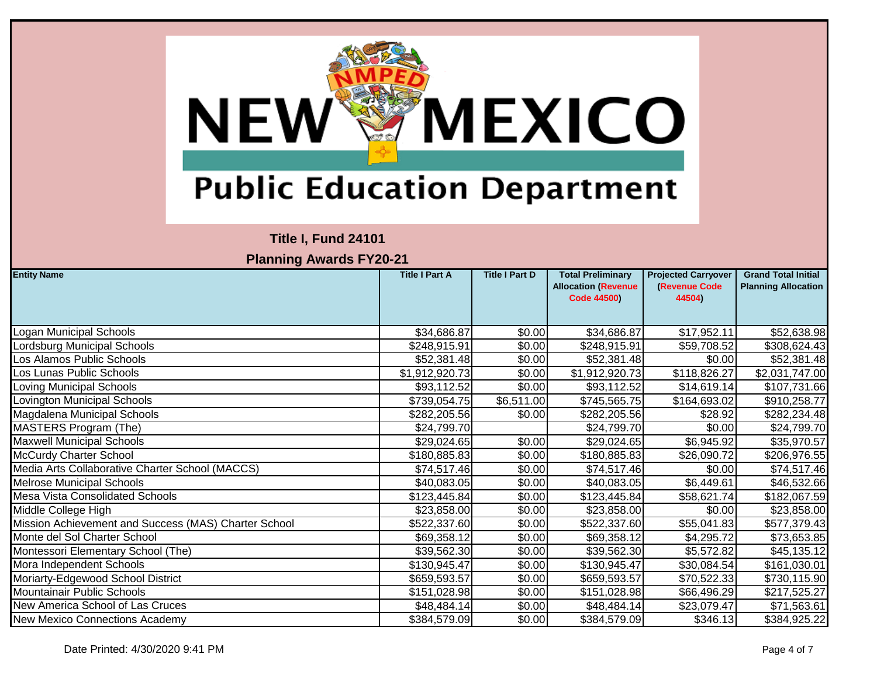

### **Title I, Fund 24101**

| <b>Entity Name</b>                                   | <b>Title I Part A</b> | <b>Title I Part D</b> | <b>Total Preliminary</b><br><b>Allocation (Revenue</b> | <b>Projected Carryover</b><br>(Revenue Code | <b>Grand Total Initial</b><br><b>Planning Allocation</b> |
|------------------------------------------------------|-----------------------|-----------------------|--------------------------------------------------------|---------------------------------------------|----------------------------------------------------------|
|                                                      |                       |                       | <b>Code 44500)</b>                                     | 44504)                                      |                                                          |
|                                                      |                       |                       |                                                        |                                             |                                                          |
| Logan Municipal Schools                              | \$34,686.87           | \$0.00                | \$34,686.87                                            | \$17,952.11                                 | \$52,638.98                                              |
| Lordsburg Municipal Schools                          | \$248,915.91          | \$0.00                | \$248,915.91                                           | \$59,708.52                                 | \$308,624.43                                             |
| Los Alamos Public Schools                            | \$52,381.48           | \$0.00                | \$52,381.48                                            | \$0.00                                      | \$52,381.48                                              |
| Los Lunas Public Schools                             | \$1,912,920.73        | \$0.00                | \$1,912,920.73                                         | \$118,826.27                                | \$2,031,747.00                                           |
| Loving Municipal Schools                             | \$93,112.52           | \$0.00                | \$93,112.52                                            | \$14,619.14                                 | \$107,731.66                                             |
| Lovington Municipal Schools                          | \$739,054.75          | \$6,511.00            | \$745,565.75                                           | \$164,693.02                                | \$910,258.77                                             |
| Magdalena Municipal Schools                          | \$282,205.56          | \$0.00                | \$282,205.56                                           | \$28.92                                     | \$282,234.48                                             |
| MASTERS Program (The)                                | \$24,799.70           |                       | \$24,799.70                                            | \$0.00                                      | \$24,799.70                                              |
| <b>Maxwell Municipal Schools</b>                     | \$29,024.65           | \$0.00                | \$29,024.65                                            | \$6,945.92                                  | \$35,970.57                                              |
| <b>McCurdy Charter School</b>                        | \$180,885.83          | \$0.00                | \$180,885.83                                           | \$26,090.72                                 | \$206,976.55                                             |
| Media Arts Collaborative Charter School (MACCS)      | \$74,517.46           | \$0.00                | \$74,517.46                                            | \$0.00                                      | \$74,517.46                                              |
| <b>Melrose Municipal Schools</b>                     | \$40,083.05           | \$0.00                | \$40,083.05                                            | \$6,449.61                                  | \$46,532.66                                              |
| <b>Mesa Vista Consolidated Schools</b>               | \$123,445.84          | \$0.00                | \$123,445.84                                           | \$58,621.74                                 | \$182,067.59                                             |
| Middle College High                                  | \$23,858.00           | \$0.00                | \$23,858.00                                            | \$0.00                                      | \$23,858.00                                              |
| Mission Achievement and Success (MAS) Charter School | \$522,337.60          | \$0.00                | \$522,337.60                                           | \$55,041.83                                 | \$577,379.43                                             |
| Monte del Sol Charter School                         | \$69,358.12           | \$0.00                | \$69,358.12                                            | \$4,295.72                                  | \$73,653.85                                              |
| Montessori Elementary School (The)                   | \$39,562.30           | \$0.00                | \$39,562.30                                            | \$5,572.82                                  | \$45,135.12                                              |
| Mora Independent Schools                             | \$130,945.47          | \$0.00                | \$130,945.47                                           | \$30,084.54                                 | \$161,030.01                                             |
| Moriarty-Edgewood School District                    | \$659,593.57          | \$0.00                | \$659,593.57                                           | \$70,522.33                                 | \$730,115.90                                             |
| Mountainair Public Schools                           | \$151,028.98          | \$0.00                | \$151,028.98                                           | \$66,496.29                                 | \$217,525.27                                             |
| New America School of Las Cruces                     | \$48,484.14           | \$0.00                | \$48,484.14                                            | \$23,079.47                                 | \$71,563.61                                              |
| <b>New Mexico Connections Academy</b>                | \$384,579.09          | \$0.00                | \$384,579.09                                           | \$346.13                                    | \$384,925.22                                             |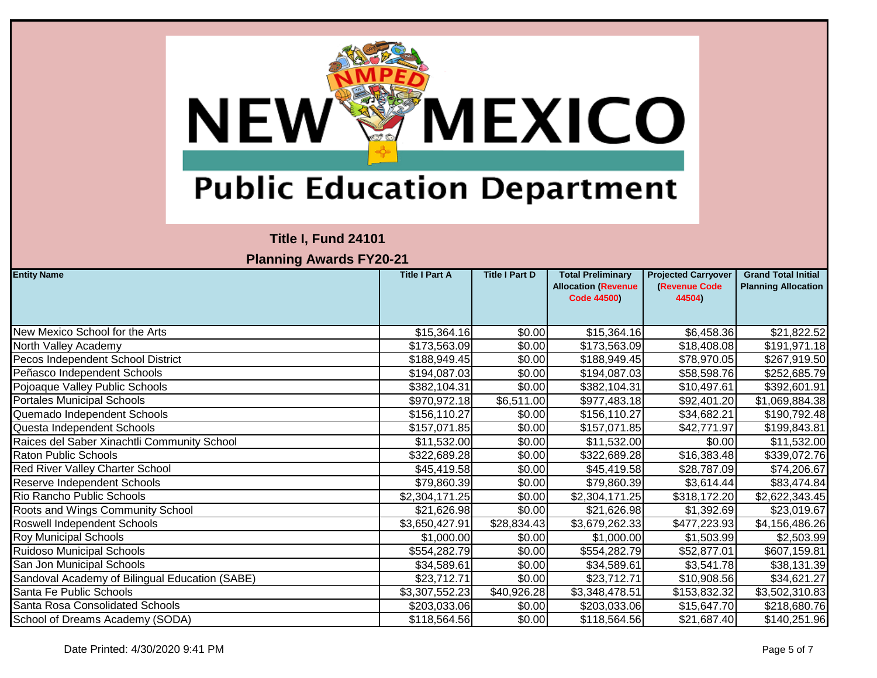

### **Title I, Fund 24101**

| <b>Entity Name</b>                             | <b>Title I Part A</b> | <b>Title I Part D</b> | <b>Total Preliminary</b><br><b>Allocation (Revenue</b><br><b>Code 44500)</b> | <b>Projected Carryover</b><br>(Revenue Code<br>44504) | <b>Grand Total Initial</b><br><b>Planning Allocation</b> |
|------------------------------------------------|-----------------------|-----------------------|------------------------------------------------------------------------------|-------------------------------------------------------|----------------------------------------------------------|
| New Mexico School for the Arts                 | \$15,364.16           | \$0.00                | \$15,364.16                                                                  | \$6,458.36                                            | \$21,822.52                                              |
| North Valley Academy                           | \$173,563.09          | \$0.00                | \$173,563.09                                                                 | \$18,408.08                                           | \$191,971.18                                             |
| Pecos Independent School District              | \$188,949.45          | \$0.00                | \$188,949.45                                                                 | \$78,970.05                                           | \$267,919.50                                             |
| Peñasco Independent Schools                    | \$194,087.03          | \$0.00                | \$194,087.03                                                                 | \$58,598.76                                           | \$252,685.79                                             |
| Pojoaque Valley Public Schools                 | \$382,104.31          | \$0.00                | \$382,104.31                                                                 | \$10,497.61                                           | \$392,601.91                                             |
| <b>Portales Municipal Schools</b>              | \$970,972.18          | \$6,511.00            | \$977,483.18                                                                 | \$92,401.20                                           | \$1,069,884.38                                           |
| Quemado Independent Schools                    | \$156,110.27          | \$0.00                | \$156,110.27                                                                 | \$34,682.21                                           | \$190,792.48                                             |
| Questa Independent Schools                     | \$157,071.85          | \$0.00                | \$157,071.85                                                                 | \$42,771.97                                           | \$199,843.81                                             |
| Raices del Saber Xinachtli Community School    | \$11,532.00           | \$0.00                | \$11,532.00                                                                  | \$0.00                                                | \$11,532.00                                              |
| <b>Raton Public Schools</b>                    | \$322,689.28          | \$0.00                | \$322,689.28                                                                 | \$16,383.48                                           | \$339,072.76                                             |
| Red River Valley Charter School                | \$45,419.58           | \$0.00                | \$45,419.58                                                                  | \$28,787.09                                           | \$74,206.67                                              |
| Reserve Independent Schools                    | \$79,860.39           | \$0.00                | \$79,860.39                                                                  | \$3,614.44]                                           | \$83,474.84                                              |
| Rio Rancho Public Schools                      | \$2,304,171.25        | \$0.00                | \$2,304,171.25                                                               | \$318,172.20                                          | \$2,622,343.45                                           |
| Roots and Wings Community School               | \$21,626.98           | \$0.00                | \$21,626.98                                                                  | \$1,392.69                                            | \$23,019.67                                              |
| Roswell Independent Schools                    | \$3,650,427.91        | \$28,834.43           | \$3,679,262.33                                                               | \$477,223.93                                          | \$4,156,486.26                                           |
| Roy Municipal Schools                          | \$1,000.00            | \$0.00                | \$1,000.00                                                                   | \$1,503.99                                            | \$2,503.99                                               |
| Ruidoso Municipal Schools                      | \$554,282.79          | \$0.00                | \$554,282.79                                                                 | \$52,877.01                                           | \$607,159.81                                             |
| San Jon Municipal Schools                      | \$34,589.61           | \$0.00                | \$34,589.61                                                                  | \$3,541.78                                            | \$38,131.39                                              |
| Sandoval Academy of Bilingual Education (SABE) | \$23,712.71           | \$0.00                | \$23,712.71                                                                  | \$10,908.56                                           | \$34,621.27                                              |
| Santa Fe Public Schools                        | \$3,307,552.23        | \$40,926.28           | \$3,348,478.51                                                               | \$153,832.32                                          | \$3,502,310.83                                           |
| Santa Rosa Consolidated Schools                | \$203,033.06          | \$0.00                | \$203,033.06                                                                 | \$15,647.70                                           | \$218,680.76                                             |
| School of Dreams Academy (SODA)                | \$118,564.56          | \$0.00                | \$118,564.56                                                                 | \$21,687.40                                           | \$140,251.96                                             |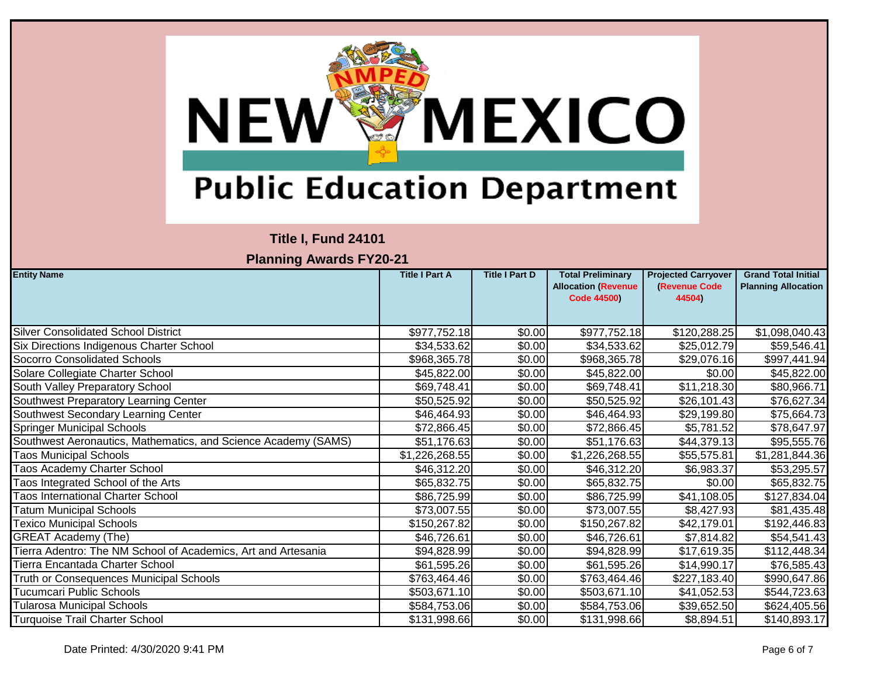

### **Title I, Fund 24101**

| <b>Entity Name</b>                                             | <b>Title I Part A</b> | <b>Title I Part D</b> | <b>Total Preliminary</b><br><b>Allocation (Revenue</b><br><b>Code 44500)</b> | <b>Projected Carryover</b><br><b>(Revenue Code)</b><br>44504) | <b>Grand Total Initial</b><br><b>Planning Allocation</b> |
|----------------------------------------------------------------|-----------------------|-----------------------|------------------------------------------------------------------------------|---------------------------------------------------------------|----------------------------------------------------------|
| <b>Silver Consolidated School District</b>                     | \$977,752.18          | \$0.00                | \$977,752.18                                                                 | \$120,288.25                                                  | \$1,098,040.43                                           |
| Six Directions Indigenous Charter School                       | \$34,533.62           | \$0.00                | \$34,533.62                                                                  | \$25,012.79                                                   | \$59,546.41                                              |
| <b>Socorro Consolidated Schools</b>                            | \$968,365.78          | \$0.00                | \$968,365.78                                                                 | \$29,076.16                                                   | \$997,441.94                                             |
| Solare Collegiate Charter School                               | \$45,822.00           | \$0.00                | \$45,822.00                                                                  | \$0.00                                                        | \$45,822.00                                              |
| South Valley Preparatory School                                | \$69,748.41           | \$0.00                | \$69,748.41                                                                  | \$11,218.30                                                   | \$80,966.71                                              |
| Southwest Preparatory Learning Center                          | \$50,525.92           | \$0.00                | \$50,525.92                                                                  | \$26,101.43                                                   | \$76,627.34                                              |
| Southwest Secondary Learning Center                            | \$46,464.93           | \$0.00                | \$46,464.93                                                                  | \$29,199.80                                                   | \$75,664.73                                              |
| <b>Springer Municipal Schools</b>                              | \$72,866.45           | \$0.00                | \$72,866.45                                                                  | \$5,781.52                                                    | \$78,647.97                                              |
| Southwest Aeronautics, Mathematics, and Science Academy (SAMS) | \$51,176.63           | \$0.00                | \$51,176.63                                                                  | \$44,379.13                                                   | \$95,555.76                                              |
| <b>Taos Municipal Schools</b>                                  | \$1,226,268.55        | \$0.00                | \$1,226,268.55                                                               | \$55,575.81                                                   | \$1,281,844.36                                           |
| <b>Taos Academy Charter School</b>                             | \$46,312.20           | \$0.00                | \$46,312.20                                                                  | \$6,983.37                                                    | \$53,295.57                                              |
| <b>Taos Integrated School of the Arts</b>                      | \$65,832.75           | \$0.00                | \$65,832.75                                                                  | \$0.00                                                        | \$65,832.75                                              |
| <b>Taos International Charter School</b>                       | \$86,725.99           | \$0.00                | \$86,725.99                                                                  | \$41,108.05                                                   | \$127,834.04                                             |
| <b>Tatum Municipal Schools</b>                                 | \$73,007.55           | \$0.00                | \$73,007.55                                                                  | \$8,427.93                                                    | \$81,435.48                                              |
| <b>Texico Municipal Schools</b>                                | \$150,267.82          | \$0.00                | \$150,267.82                                                                 | \$42,179.01                                                   | \$192,446.83                                             |
| <b>GREAT Academy (The)</b>                                     | \$46,726.61           | \$0.00                | \$46,726.61                                                                  | \$7,814.82                                                    | \$54,541.43                                              |
| Tierra Adentro: The NM School of Academics, Art and Artesania  | \$94,828.99           | \$0.00                | \$94,828.99                                                                  | \$17,619.35                                                   | \$112,448.34                                             |
| Tierra Encantada Charter School                                | \$61,595.26           | \$0.00                | \$61,595.26                                                                  | \$14,990.17                                                   | \$76,585.43                                              |
| Truth or Consequences Municipal Schools                        | \$763,464.46          | \$0.00                | \$763,464.46                                                                 | \$227,183.40                                                  | \$990,647.86                                             |
| Tucumcari Public Schools                                       | \$503,671.10          | \$0.00                | \$503,671.10                                                                 | \$41,052.53                                                   | \$544,723.63                                             |
| <b>Tularosa Municipal Schools</b>                              | \$584,753.06          | \$0.00                | \$584,753.06                                                                 | \$39,652.50                                                   | \$624,405.56                                             |
| <b>Turquoise Trail Charter School</b>                          | \$131,998.66          | \$0.00                | \$131,998.66                                                                 | \$8,894.51                                                    | \$140,893.17                                             |